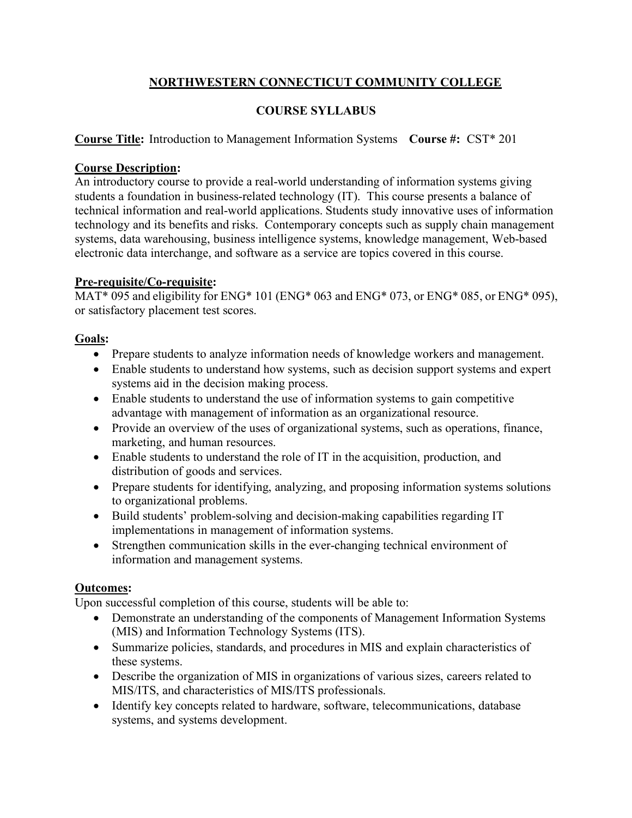# **NORTHWESTERN CONNECTICUT COMMUNITY COLLEGE**

## **COURSE SYLLABUS**

# **Course Title:** Introduction to Management Information Systems **Course #:** CST\* 201

### **Course Description:**

An introductory course to provide a real-world understanding of information systems giving students a foundation in business-related technology (IT). This course presents a balance of technical information and real-world applications. Students study innovative uses of information technology and its benefits and risks. Contemporary concepts such as supply chain management systems, data warehousing, business intelligence systems, knowledge management, Web-based electronic data interchange, and software as a service are topics covered in this course.

#### **Pre-requisite/Co-requisite:**

MAT\* 095 and eligibility for ENG\* 101 (ENG\* 063 and ENG\* 073, or ENG\* 085, or ENG\* 095), or satisfactory placement test scores.

### **Goals:**

- Prepare students to analyze information needs of knowledge workers and management.
- Enable students to understand how systems, such as decision support systems and expert systems aid in the decision making process.
- Enable students to understand the use of information systems to gain competitive advantage with management of information as an organizational resource.
- Provide an overview of the uses of organizational systems, such as operations, finance, marketing, and human resources.
- Enable students to understand the role of IT in the acquisition, production, and distribution of goods and services.
- Prepare students for identifying, analyzing, and proposing information systems solutions to organizational problems.
- Build students' problem-solving and decision-making capabilities regarding IT implementations in management of information systems.
- Strengthen communication skills in the ever-changing technical environment of information and management systems.

### **Outcomes:**

Upon successful completion of this course, students will be able to:

- Demonstrate an understanding of the components of Management Information Systems (MIS) and Information Technology Systems (ITS).
- Summarize policies, standards, and procedures in MIS and explain characteristics of these systems.
- Describe the organization of MIS in organizations of various sizes, careers related to MIS/ITS, and characteristics of MIS/ITS professionals.
- Identify key concepts related to hardware, software, telecommunications, database systems, and systems development.